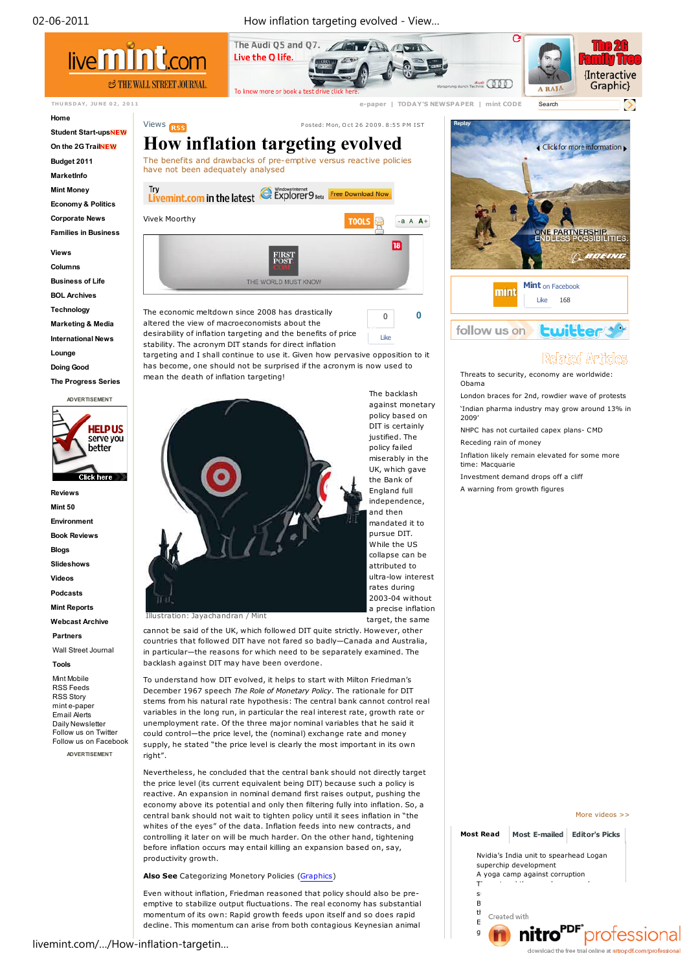02-06-2011 How inflation targeting evolved - View…



#### **Home**

**Student Start-upsNEW On the 2G Trail Budget 2011**

**MarketInfo**

**Mint Money**

**Economy & Politics**

**Corporate News**

**Families in Business**

**Views**

**Columns**

**Business of Life**

**BOL Archives**

**Technology**

**Marketing & Media**

**International News**

**Lounge**

**Doing Good**

**The Progress Series**



**Reviews Mint 50 Environment Book Reviews Blogs Slideshows Videos Podcasts Mint Reports Webcast Archive**

**Partners**

Wall Street Journal

# **Tools**

Mint Mobile RSS Feeds RSS Story mint e-paper Email Alerts Daily Newsletter Follow us on Twitter Follow us on Facebook **ADVERTISEMENT**



**0**

Like 0

The economic meltdown since 2008 has drastically altered the view of macroeconomists about the desirability of inflation targeting and the benefits of price

stability. The acronym DIT stands for direct inflation targeting and I shall continue to use it. Given how pervasive opposition to it has become, one should not be surprised if the acronym is now used to mean the death of inflation targeting!

Views **P** osted: Mon, Oct 26 2009. 8:55 PM IST



cannot be said of the UK, which followed DIT quite strictly. However, other countries that followed DIT have not fared so badly—Canada and Australia, in particular—the reasons for which need to be separately examined. The backlash against DIT may have been overdone.

To understand how DIT evolved, it helps to start with Milton Friedman's December 1967 speech *The Role of Monetary Policy*. The rationale for DIT stems from his natural rate hypothesis: The central bank cannot control real variables in the long run, in particular the real interest rate, growth rate or unemployment rate. Of the three major nominal variables that he said it could control—the price level, the (nominal) exchange rate and money supply, he stated "the price level is clearly the most important in its own right".

Nevertheless, he concluded that the central bank should not directly target the price level (its current equivalent being DIT) because such a policy is reactive. An expansion in nominal demand first raises output, pushing the economy above its potential and only then filtering fully into inflation. So, a central bank should not wait to tighten policy until it sees inflation in "the whites of the eyes" of the data. Inflation feeds into new contracts, and controlling it later on will be much harder. On the other hand, tightening before inflation occurs may entail killing an expansion based on, say, productivity growth.

**Also See** Categorizing Monetory Policies (Graphics)

Even without inflation, Friedman reasoned that policy should also be preemptive to stabilize output fluctuations. The real economy has substantial momentum of its own: Rapid growth feeds upon itself and so does rapid decline. This momentum can arise from both contagious Keynesian animal



# Related Articles

Threats to security, economy are worldwide: Obama

London braces for 2nd, rowdier wave of protests 'Indian pharma industry may grow around 13% in 2009'

NHPC has not curtailed capex plans- CMD Receding rain of money

Inflation likely remain elevated for some more time: Macquarie

Investment demand drops off a cliff

A warning from growth figures

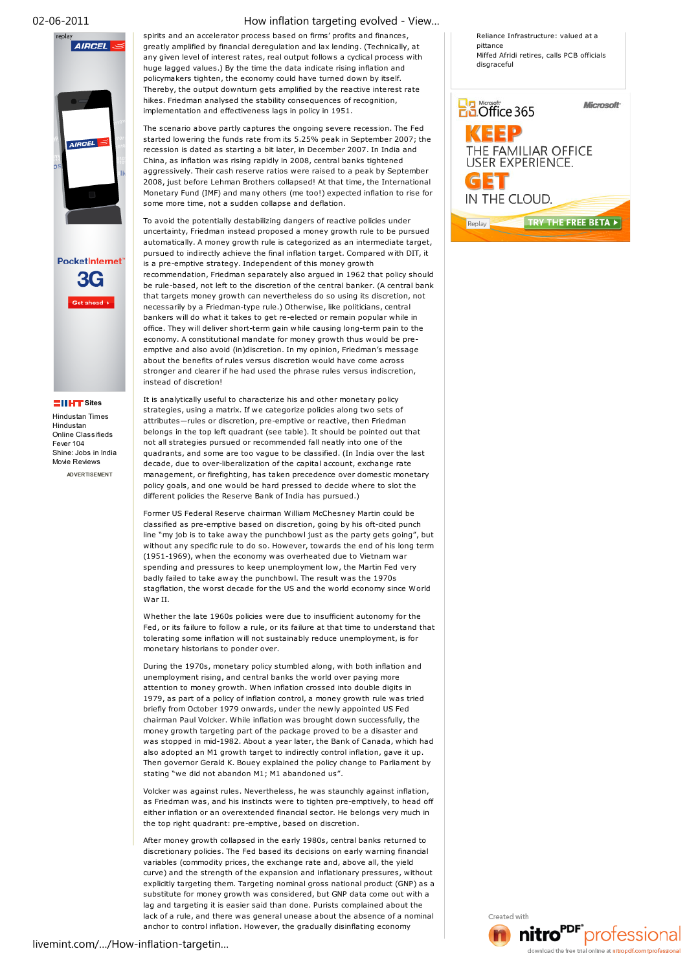

# **Sites**

Hindustan Times Hindustan Online Classifieds Fever 104 Shine: Jobs in India Movie Reviews **ADVERTISEMENT**

# 02-06-2011 How inflation targeting evolved - View…

spirits and an accelerator process based on firms' profits and finances, greatly amplified by financial deregulation and lax lending. (Technically, at any given level of interest rates, real output follows a cyclical process with huge lagged values.) By the time the data indicate rising inflation and policymakers tighten, the economy could have turned down by itself. Thereby, the output downturn gets amplified by the reactive interest rate hikes. Friedman analysed the stability consequences of recognition, implementation and effectiveness lags in policy in 1951.

The scenario above partly captures the ongoing severe recession. The Fed started lowering the funds rate from its 5.25% peak in September 2007; the recession is dated as starting a bit later, in December 2007. In India and China, as inflation was rising rapidly in 2008, central banks tightened aggressively. Their cash reserve ratios were raised to a peak by September 2008, just before Lehman Brothers collapsed! At that time, the International Monetary Fund (IMF) and many others (me too!) expected inflation to rise for some more time, not a sudden collapse and deflation.

To avoid the potentially destabilizing dangers of reactive policies under uncertainty, Friedman instead proposed a money growth rule to be pursued automatically. A money growth rule is categorized as an intermediate target, pursued to indirectly achieve the final inflation target. Compared with DIT, it is a pre-emptive strategy. Independent of this money growth recommendation, Friedman separately also argued in 1962 that policy should be rule-based, not left to the discretion of the central banker. (A central bank that targets money growth can nevertheless do so using its discretion, not necessarily by a Friedman-type rule.) Otherwise, like politicians, central bankers will do what it takes to get re-elected or remain popular while in office. They will deliver short-term gain while causing long-term pain to the economy. A constitutional mandate for money growth thus would be preemptive and also avoid (in)discretion. In my opinion, Friedman's message about the benefits of rules versus discretion would have come across stronger and clearer if he had used the phrase rules versus indiscretion, instead of discretion!

It is analytically useful to characterize his and other monetary policy strategies, using a matrix. If we categorize policies along two sets of attributes—rules or discretion, pre-emptive or reactive, then Friedman belongs in the top left quadrant (see table). It should be pointed out that not all strategies pursued or recommended fall neatly into one of the quadrants, and some are too vague to be classified. (In India over the last decade, due to over-liberalization of the capital account, exchange rate management, or firefighting, has taken precedence over domestic monetary policy goals, and one would be hard pressed to decide where to slot the different policies the Reserve Bank of India has pursued.)

Former US Federal Reserve chairman William McChesney Martin could be classified as pre-emptive based on discretion, going by his oft-cited punch line "my job is to take away the punchbowl just as the party gets going", but without any specific rule to do so. However, towards the end of his long term (1951-1969), when the economy was overheated due to Vietnam war spending and pressures to keep unemployment low , the Martin Fed very badly failed to take away the punchbowl. The result was the 1970s stagflation, the worst decade for the US and the world economy since World War II.

Whether the late 1960s policies were due to insufficient autonomy for the Fed, or its failure to follow a rule, or its failure at that time to understand that tolerating some inflation will not sustainably reduce unemployment, is for monetary historians to ponder over.

During the 1970s, monetary policy stumbled along, with both inflation and unemployment rising, and central banks the world over paying more attention to money growth. When inflation crossed into double digits in 1979, as part of a policy of inflation control, a money growth rule was tried briefly from October 1979 onwards, under the newly appointed US Fed chairman Paul Volcker. While inflation was brought down successfully, the money growth targeting part of the package proved to be a disaster and was stopped in mid-1982. About a year later, the Bank of Canada, which had also adopted an M1 growth target to indirectly control inflation, gave it up. Then governor Gerald K. Bouey explained the policy change to Parliament by stating "we did not abandon M1; M1 abandoned us".

Volcker was against rules. Nevertheless, he was staunchly against inflation, as Friedman was, and his instincts were to tighten pre-emptively, to head off either inflation or an overextended financial sector. He belongs very much in the top right quadrant: pre-emptive, based on discretion.

After money growth collapsed in the early 1980s, central banks returned to discretionary policies. The Fed based its decisions on early warning financial variables (commodity prices, the exchange rate and, above all, the yield curve) and the strength of the expansion and inflationary pressures, without explicitly targeting them. Targeting nominal gross national product (GNP) as a substitute for money growth was considered, but GNP data come out with a lag and targeting it is easier said than done. Purists complained about the lack of a rule, and there was general unease about the absence of a nominal anchor to control inflation. However, the gradually disinflating economy

pittance Miffed Afridi retires, calls PCB officials disgraceful

Reliance Infrastructure: valued at a



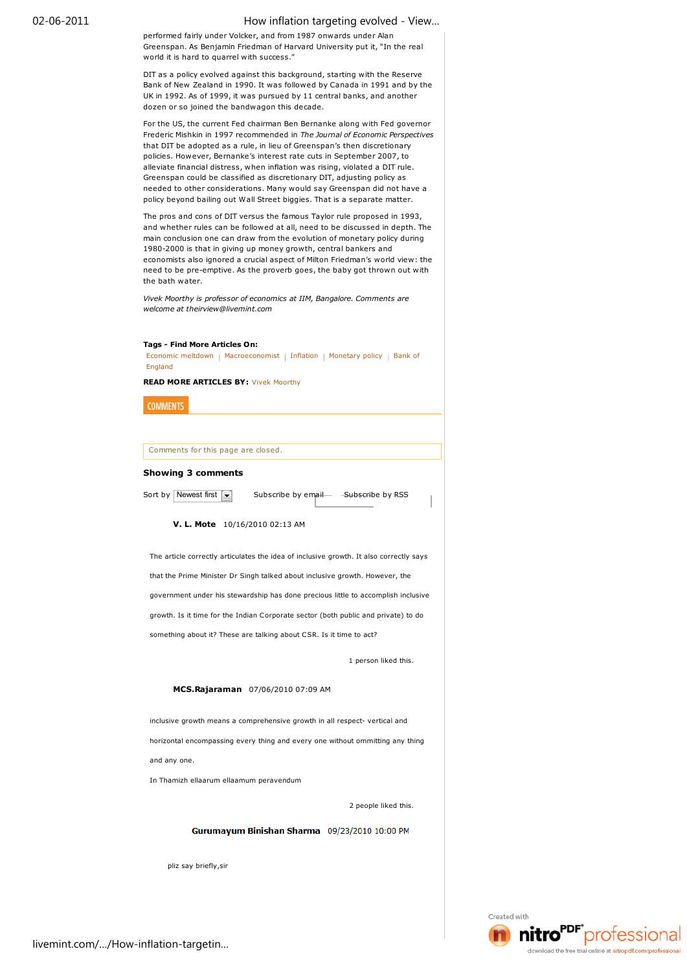# 02-06-2011 How inflation targeting evolved - View…

performed fairly under Volcker, and from 1987 onwards under Alan Greenspan. As Benjamin Friedman of Harvard University put it, "In the real world it is hard to quarrel with success."

DIT as a policy evolved against this background, starting with the Reserve Bank of New Zealand in 1990. It was followed by Canada in 1991 and by the UK in 1992. As of 1999, it was pursued by 11 central banks, and another dozen or so joined the bandwagon this decade.

For the US, the current Fed chairman Ben Bernanke along with Fed governor Frederic Mishkin in 1997 recommended in *The Journal of Economic Perspectives* that DIT be adopted as a rule, in lieu of Greenspan's then discretionary policies. However, Bernanke's interest rate cuts in September 2007, to alleviate financial distress, when inflation was rising, violated a DIT rule. Greenspan could be classified as discretionary DIT, adjusting policy as needed to other considerations. Many would say Greenspan did not have a policy beyond bailing out Wall Street biggies. That is a separate matter.

The pros and cons of DIT versus the famous Taylor rule proposed in 1993, and whether rules can be followed at all, need to be discussed in depth. The main conclusion one can draw from the evolution of monetary policy during 1980-2000 is that in giving up money growth, central bankers and economists also ignored a crucial aspect of Milton Friedman's world view: the need to be pre-emptive. As the proverb goes, the baby got thrown out with the bath water.

*Vivek Moorthy is professor of economics at IIM, Bangalore. Comments are welcome at theirview@livemint.com*

### **Tags - Find More Articles On:**

Economic meltdown | Macroeconomist | Inflation | Monetary policy | Bank of England

**READ MORE ARTICLES BY:** Vivek Moorthy

**COMMENTS** 

Comments for this page are closed.

# **Showing 3 comments**

Sort by Newest first  $\boxed{\mathbf{v}}$  Subscribe by email Subscribe by RSS

## **V. L. Mote** 10/16/2010 02:13 AM

The article correctly articulates the idea of inclusive growth. It also correctly says that the Prime Minister Dr Singh talked about inclusive growth. However, the government under his stewardship has done precious little to accomplish inclusive growth. Is it time for the Indian Corporate sector (both public and private) to do something about it? These are talking about CSR. Is it time to act?

1 person liked this.

# **MCS.Rajaraman** 07/06/2010 07:09 AM

inclusive growth means a comprehensive growth in all respect- vertical and horizontal encompassing every thing and every one without ommitting any thing and any one.

In Thamizh ellaarum ellaamum peravendum

2 people liked this.

**Gurumayum Binishan Sharma** 09/23/2010 10:00 PM

pliz say briefly,sir